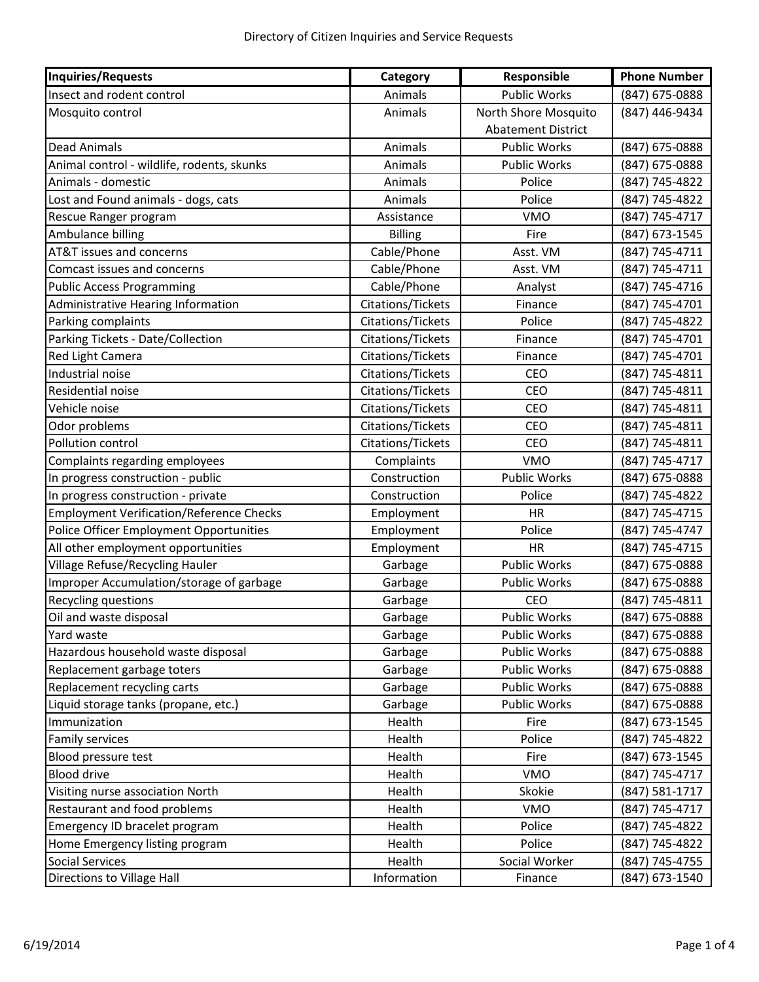| Inquiries/Requests                              | Category          | Responsible               | <b>Phone Number</b> |
|-------------------------------------------------|-------------------|---------------------------|---------------------|
| Insect and rodent control                       | Animals           | <b>Public Works</b>       | (847) 675-0888      |
| Mosquito control                                | Animals           | North Shore Mosquito      | (847) 446-9434      |
|                                                 |                   | <b>Abatement District</b> |                     |
| <b>Dead Animals</b>                             | Animals           | <b>Public Works</b>       | (847) 675-0888      |
| Animal control - wildlife, rodents, skunks      | Animals           | <b>Public Works</b>       | (847) 675-0888      |
| Animals - domestic                              | Animals           | Police                    | (847) 745-4822      |
| Lost and Found animals - dogs, cats             | Animals           | Police                    | (847) 745-4822      |
| Rescue Ranger program                           | Assistance        | <b>VMO</b>                | (847) 745-4717      |
| Ambulance billing                               | <b>Billing</b>    | Fire                      | (847) 673-1545      |
| AT&T issues and concerns                        | Cable/Phone       | Asst. VM                  | (847) 745-4711      |
| Comcast issues and concerns                     | Cable/Phone       | Asst. VM                  | (847) 745-4711      |
| <b>Public Access Programming</b>                | Cable/Phone       | Analyst                   | (847) 745-4716      |
| Administrative Hearing Information              | Citations/Tickets | Finance                   | (847) 745-4701      |
| Parking complaints                              | Citations/Tickets | Police                    | (847) 745-4822      |
| Parking Tickets - Date/Collection               | Citations/Tickets | Finance                   | (847) 745-4701      |
| Red Light Camera                                | Citations/Tickets | Finance                   | (847) 745-4701      |
| Industrial noise                                | Citations/Tickets | CEO                       | (847) 745-4811      |
| Residential noise                               | Citations/Tickets | CEO                       | (847) 745-4811      |
| Vehicle noise                                   | Citations/Tickets | CEO                       | (847) 745-4811      |
| Odor problems                                   | Citations/Tickets | CEO                       | (847) 745-4811      |
| Pollution control                               | Citations/Tickets | CEO                       | (847) 745-4811      |
| Complaints regarding employees                  | Complaints        | <b>VMO</b>                | (847) 745-4717      |
| In progress construction - public               | Construction      | <b>Public Works</b>       | (847) 675-0888      |
| In progress construction - private              | Construction      | Police                    | (847) 745-4822      |
| <b>Employment Verification/Reference Checks</b> | Employment        | <b>HR</b>                 | (847) 745-4715      |
| Police Officer Employment Opportunities         | Employment        | Police                    | (847) 745-4747      |
| All other employment opportunities              | Employment        | <b>HR</b>                 | (847) 745-4715      |
| Village Refuse/Recycling Hauler                 | Garbage           | <b>Public Works</b>       | (847) 675-0888      |
| Improper Accumulation/storage of garbage        | Garbage           | Public Works              | (847) 675-0888      |
| Recycling questions                             | Garbage           | CEO                       | (847) 745-4811      |
| Oil and waste disposal                          | Garbage           | Public Works              | (847) 675-0888      |
| Yard waste                                      | Garbage           | Public Works              | (847) 675-0888      |
| Hazardous household waste disposal              | Garbage           | <b>Public Works</b>       | (847) 675-0888      |
| Replacement garbage toters                      | Garbage           | Public Works              | (847) 675-0888      |
| Replacement recycling carts                     | Garbage           | <b>Public Works</b>       | (847) 675-0888      |
| Liquid storage tanks (propane, etc.)            | Garbage           | <b>Public Works</b>       | (847) 675-0888      |
| Immunization                                    | Health            | Fire                      | (847) 673-1545      |
| Family services                                 | Health            | Police                    | (847) 745-4822      |
| Blood pressure test                             | Health            | Fire                      | (847) 673-1545      |
| <b>Blood drive</b>                              | Health            | <b>VMO</b>                | (847) 745-4717      |
| Visiting nurse association North                | Health            | Skokie                    | (847) 581-1717      |
| Restaurant and food problems                    | Health            | <b>VMO</b>                | (847) 745-4717      |
| Emergency ID bracelet program                   | Health            | Police                    | (847) 745-4822      |
| Home Emergency listing program                  | Health            | Police                    | (847) 745-4822      |
| <b>Social Services</b>                          | Health            | Social Worker             | (847) 745-4755      |
| Directions to Village Hall                      | Information       | Finance                   | (847) 673-1540      |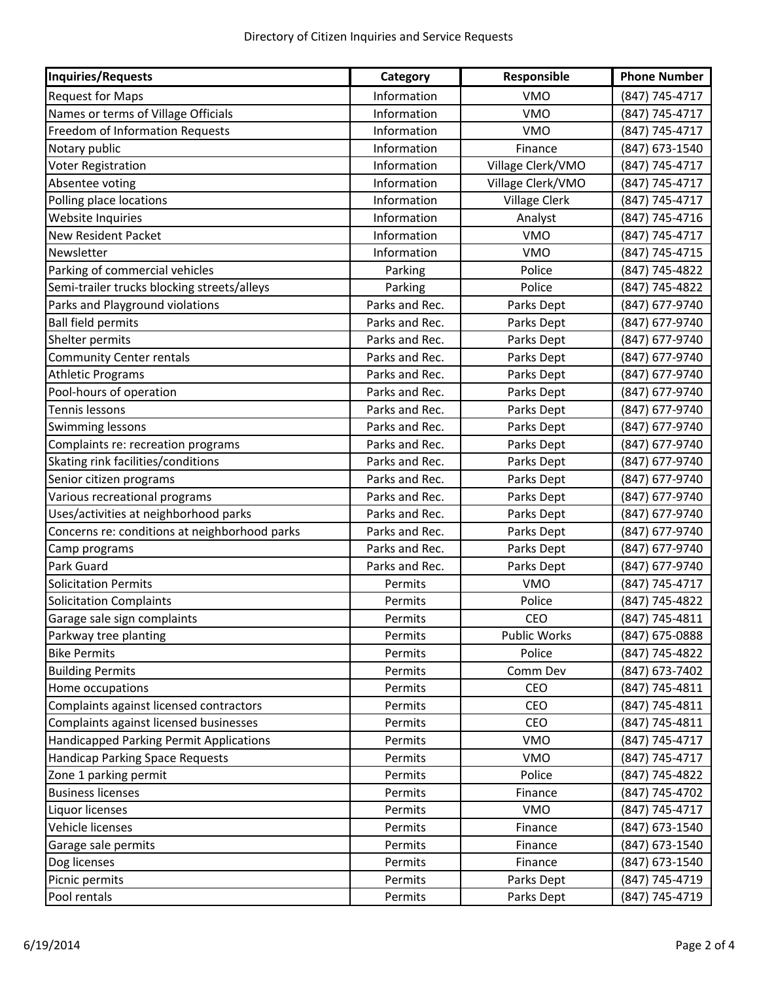| Inquiries/Requests                             | Category       | Responsible          | <b>Phone Number</b> |
|------------------------------------------------|----------------|----------------------|---------------------|
| <b>Request for Maps</b>                        | Information    | <b>VMO</b>           | (847) 745-4717      |
| Names or terms of Village Officials            | Information    | <b>VMO</b>           | (847) 745-4717      |
| Freedom of Information Requests                | Information    | <b>VMO</b>           | (847) 745-4717      |
| Notary public                                  | Information    | Finance              | (847) 673-1540      |
| Voter Registration                             | Information    | Village Clerk/VMO    | (847) 745-4717      |
| Absentee voting                                | Information    | Village Clerk/VMO    | (847) 745-4717      |
| Polling place locations                        | Information    | <b>Village Clerk</b> | (847) 745-4717      |
| Website Inquiries                              | Information    | Analyst              | (847) 745-4716      |
| New Resident Packet                            | Information    | <b>VMO</b>           | (847) 745-4717      |
| Newsletter                                     | Information    | <b>VMO</b>           | (847) 745-4715      |
| Parking of commercial vehicles                 | Parking        | Police               | (847) 745-4822      |
| Semi-trailer trucks blocking streets/alleys    | Parking        | Police               | (847) 745-4822      |
| Parks and Playground violations                | Parks and Rec. | Parks Dept           | (847) 677-9740      |
| <b>Ball field permits</b>                      | Parks and Rec. | Parks Dept           | (847) 677-9740      |
| Shelter permits                                | Parks and Rec. | Parks Dept           | (847) 677-9740      |
| <b>Community Center rentals</b>                | Parks and Rec. | Parks Dept           | (847) 677-9740      |
| <b>Athletic Programs</b>                       | Parks and Rec. | Parks Dept           | (847) 677-9740      |
| Pool-hours of operation                        | Parks and Rec. | Parks Dept           | (847) 677-9740      |
| Tennis lessons                                 | Parks and Rec. | Parks Dept           | (847) 677-9740      |
| Swimming lessons                               | Parks and Rec. | Parks Dept           | (847) 677-9740      |
| Complaints re: recreation programs             | Parks and Rec. | Parks Dept           | (847) 677-9740      |
| Skating rink facilities/conditions             | Parks and Rec. | Parks Dept           | (847) 677-9740      |
| Senior citizen programs                        | Parks and Rec. | Parks Dept           | (847) 677-9740      |
| Various recreational programs                  | Parks and Rec. | Parks Dept           | (847) 677-9740      |
| Uses/activities at neighborhood parks          | Parks and Rec. | Parks Dept           | (847) 677-9740      |
| Concerns re: conditions at neighborhood parks  | Parks and Rec. | Parks Dept           | (847) 677-9740      |
| Camp programs                                  | Parks and Rec. | Parks Dept           | (847) 677-9740      |
| Park Guard                                     | Parks and Rec. | Parks Dept           | (847) 677-9740      |
| <b>Solicitation Permits</b>                    | Permits        | <b>VMO</b>           | (847) 745-4717      |
| <b>Solicitation Complaints</b>                 | Permits        | Police               | (847) 745-4822      |
| Garage sale sign complaints                    | Permits        | <b>CEO</b>           | (847) 745-4811      |
| Parkway tree planting                          | Permits        | Public Works         | (847) 675-0888      |
| <b>Bike Permits</b>                            | Permits        | Police               | (847) 745-4822      |
| <b>Building Permits</b>                        | Permits        | Comm Dev             | (847) 673-7402      |
| Home occupations                               | Permits        | CEO                  | (847) 745-4811      |
| Complaints against licensed contractors        | Permits        | CEO                  | (847) 745-4811      |
| Complaints against licensed businesses         | Permits        | <b>CEO</b>           | (847) 745-4811      |
| <b>Handicapped Parking Permit Applications</b> | Permits        | <b>VMO</b>           | (847) 745-4717      |
| <b>Handicap Parking Space Requests</b>         | Permits        | <b>VMO</b>           | (847) 745-4717      |
| Zone 1 parking permit                          | Permits        | Police               | (847) 745-4822      |
| <b>Business licenses</b>                       | Permits        | Finance              | (847) 745-4702      |
| Liquor licenses                                | Permits        | <b>VMO</b>           | (847) 745-4717      |
| Vehicle licenses                               | Permits        | Finance              | (847) 673-1540      |
| Garage sale permits                            | Permits        | Finance              | (847) 673-1540      |
| Dog licenses                                   | Permits        | Finance              | (847) 673-1540      |
| Picnic permits                                 | Permits        | Parks Dept           | (847) 745-4719      |
| Pool rentals                                   | Permits        | Parks Dept           | (847) 745-4719      |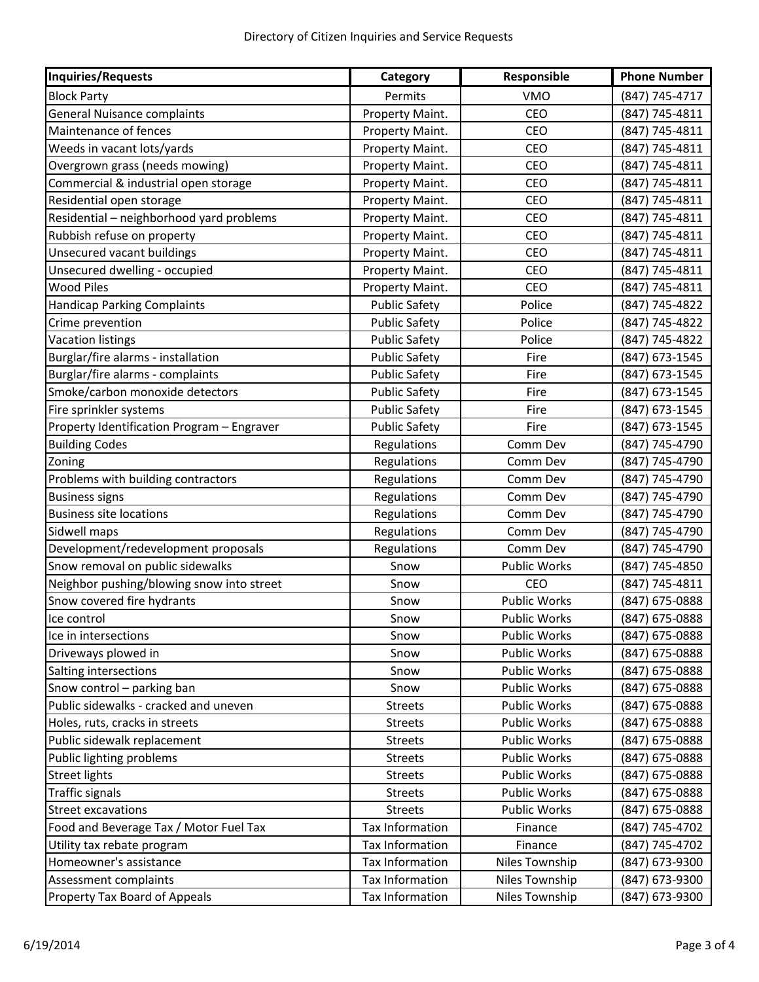| <b>Inquiries/Requests</b>                  | Category             | Responsible         | <b>Phone Number</b> |
|--------------------------------------------|----------------------|---------------------|---------------------|
| <b>Block Party</b>                         | Permits              | <b>VMO</b>          | (847) 745-4717      |
| <b>General Nuisance complaints</b>         | Property Maint.      | CEO                 | (847) 745-4811      |
| Maintenance of fences                      | Property Maint.      | CEO                 | (847) 745-4811      |
| Weeds in vacant lots/yards                 | Property Maint.      | CEO                 | (847) 745-4811      |
| Overgrown grass (needs mowing)             | Property Maint.      | CEO                 | (847) 745-4811      |
| Commercial & industrial open storage       | Property Maint.      | CEO                 | (847) 745-4811      |
| Residential open storage                   | Property Maint.      | <b>CEO</b>          | (847) 745-4811      |
| Residential - neighborhood yard problems   | Property Maint.      | CEO                 | (847) 745-4811      |
| Rubbish refuse on property                 | Property Maint.      | CEO                 | (847) 745-4811      |
| Unsecured vacant buildings                 | Property Maint.      | CEO                 | (847) 745-4811      |
| Unsecured dwelling - occupied              | Property Maint.      | CEO                 | (847) 745-4811      |
| <b>Wood Piles</b>                          | Property Maint.      | CEO                 | (847) 745-4811      |
| <b>Handicap Parking Complaints</b>         | <b>Public Safety</b> | Police              | (847) 745-4822      |
| Crime prevention                           | <b>Public Safety</b> | Police              | (847) 745-4822      |
| <b>Vacation listings</b>                   | <b>Public Safety</b> | Police              | (847) 745-4822      |
| Burglar/fire alarms - installation         | <b>Public Safety</b> | Fire                | (847) 673-1545      |
| Burglar/fire alarms - complaints           | <b>Public Safety</b> | Fire                | (847) 673-1545      |
| Smoke/carbon monoxide detectors            | <b>Public Safety</b> | Fire                | (847) 673-1545      |
| Fire sprinkler systems                     | <b>Public Safety</b> | Fire                | (847) 673-1545      |
| Property Identification Program - Engraver | <b>Public Safety</b> | Fire                | (847) 673-1545      |
| <b>Building Codes</b>                      | Regulations          | Comm Dev            | (847) 745-4790      |
| Zoning                                     | Regulations          | Comm Dev            | (847) 745-4790      |
| Problems with building contractors         | Regulations          | Comm Dev            | (847) 745-4790      |
| <b>Business signs</b>                      | Regulations          | Comm Dev            | (847) 745-4790      |
| <b>Business site locations</b>             | Regulations          | Comm Dev            | (847) 745-4790      |
| Sidwell maps                               | Regulations          | Comm Dev            | (847) 745-4790      |
| Development/redevelopment proposals        | Regulations          | Comm Dev            | (847) 745-4790      |
| Snow removal on public sidewalks           | Snow                 | <b>Public Works</b> | (847) 745-4850      |
| Neighbor pushing/blowing snow into street  | Snow                 | CEO                 | (847) 745-4811      |
| Snow covered fire hydrants                 | Snow                 | <b>Public Works</b> | (847) 675-0888      |
| Ice control                                | Snow                 | Public Works        | (847) 675-0888      |
| Ice in intersections                       | Snow                 | Public Works        | (847) 675-0888      |
| Driveways plowed in                        | Snow                 | Public Works        | (847) 675-0888      |
| Salting intersections                      | Snow                 | Public Works        | (847) 675-0888      |
| Snow control - parking ban                 | Snow                 | <b>Public Works</b> | (847) 675-0888      |
| Public sidewalks - cracked and uneven      | <b>Streets</b>       | <b>Public Works</b> | (847) 675-0888      |
| Holes, ruts, cracks in streets             | <b>Streets</b>       | Public Works        | (847) 675-0888      |
| Public sidewalk replacement                | <b>Streets</b>       | <b>Public Works</b> | (847) 675-0888      |
| Public lighting problems                   | <b>Streets</b>       | <b>Public Works</b> | (847) 675-0888      |
| <b>Street lights</b>                       | <b>Streets</b>       | Public Works        | (847) 675-0888      |
| <b>Traffic signals</b>                     | <b>Streets</b>       | <b>Public Works</b> | (847) 675-0888      |
| <b>Street excavations</b>                  | <b>Streets</b>       | <b>Public Works</b> | (847) 675-0888      |
| Food and Beverage Tax / Motor Fuel Tax     | Tax Information      | Finance             | (847) 745-4702      |
| Utility tax rebate program                 | Tax Information      | Finance             | (847) 745-4702      |
| Homeowner's assistance                     | Tax Information      | Niles Township      | (847) 673-9300      |
| Assessment complaints                      | Tax Information      | Niles Township      | (847) 673-9300      |
| Property Tax Board of Appeals              | Tax Information      | Niles Township      | (847) 673-9300      |